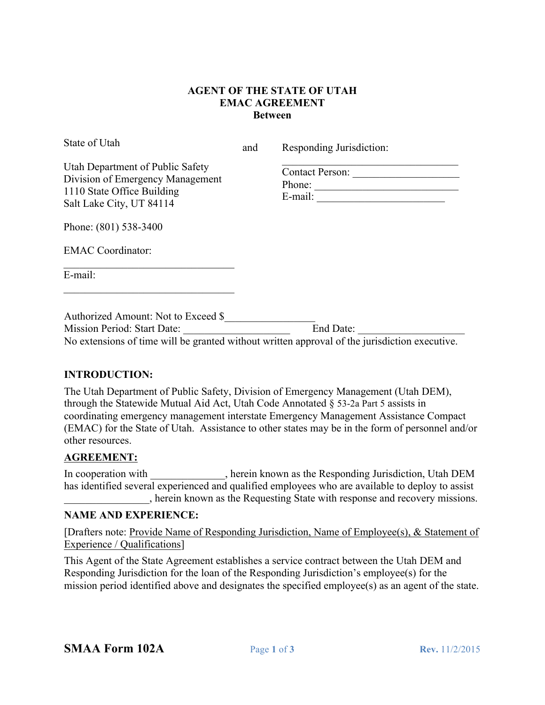### **AGENT OF THE STATE OF UTAH EMAC AGREEMENT Between**

State of Utah

and Responding Jurisdiction:

| Utah Department of Public Safety |
|----------------------------------|
| Division of Emergency Management |
| 1110 State Office Building       |
| Salt Lake City, UT 84114         |

 $\mathcal{L}_\text{max}$ Contact Person: \_\_\_\_\_\_\_\_\_\_\_\_\_\_\_\_\_\_\_\_ Phone: \_\_\_\_\_\_\_\_\_\_\_\_\_\_\_\_\_\_\_\_\_\_\_\_\_\_\_ E-mail:

Phone: (801) 538-3400

EMAC Coordinator:

E-mail:

 $\mathcal{L}=\mathcal{L}=\mathcal{L}=\mathcal{L}=\mathcal{L}=\mathcal{L}=\mathcal{L}=\mathcal{L}=\mathcal{L}=\mathcal{L}=\mathcal{L}=\mathcal{L}=\mathcal{L}=\mathcal{L}=\mathcal{L}=\mathcal{L}=\mathcal{L}=\mathcal{L}=\mathcal{L}=\mathcal{L}=\mathcal{L}=\mathcal{L}=\mathcal{L}=\mathcal{L}=\mathcal{L}=\mathcal{L}=\mathcal{L}=\mathcal{L}=\mathcal{L}=\mathcal{L}=\mathcal{L}=\mathcal{L}=\mathcal{L}=\mathcal{L}=\mathcal{L}=\mathcal{L}=\mathcal{$ 

 $\mathcal{L}_\text{max}$ 

Authorized Amount: Not to Exceed \$\_\_\_\_\_\_\_\_\_\_\_\_\_\_\_\_\_ Mission Period: Start Date: No extensions of time will be granted without written approval of the jurisdiction executive.

### **INTRODUCTION:**

The Utah Department of Public Safety, Division of Emergency Management (Utah DEM), through the Statewide Mutual Aid Act, Utah Code Annotated § 53-2a Part 5 assists in coordinating emergency management interstate Emergency Management Assistance Compact (EMAC) for the State of Utah. Assistance to other states may be in the form of personnel and/or other resources.

### **AGREEMENT:**

In cooperation with \_\_\_\_\_\_\_\_\_\_\_, herein known as the Responding Jurisdiction, Utah DEM has identified several experienced and qualified employees who are available to deploy to assist \_\_\_\_\_\_\_\_\_\_\_\_\_\_\_\_, herein known as the Requesting State with response and recovery missions.

### **NAME AND EXPERIENCE:**

[Drafters note: Provide Name of Responding Jurisdiction, Name of Employee(s), & Statement of Experience / Qualifications]

This Agent of the State Agreement establishes a service contract between the Utah DEM and Responding Jurisdiction for the loan of the Responding Jurisdiction's employee(s) for the mission period identified above and designates the specified employee(s) as an agent of the state.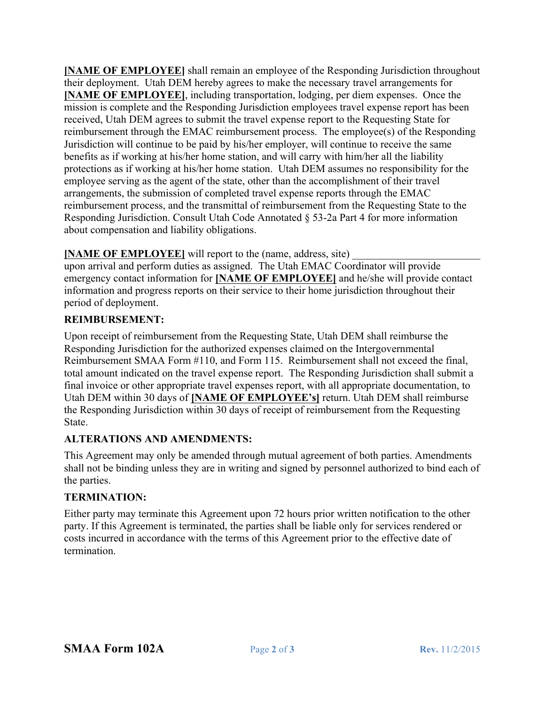**[NAME OF EMPLOYEE]** shall remain an employee of the Responding Jurisdiction throughout their deployment. Utah DEM hereby agrees to make the necessary travel arrangements for **[NAME OF EMPLOYEE]**, including transportation, lodging, per diem expenses. Once the mission is complete and the Responding Jurisdiction employees travel expense report has been received, Utah DEM agrees to submit the travel expense report to the Requesting State for reimbursement through the EMAC reimbursement process. The employee(s) of the Responding Jurisdiction will continue to be paid by his/her employer, will continue to receive the same benefits as if working at his/her home station, and will carry with him/her all the liability protections as if working at his/her home station. Utah DEM assumes no responsibility for the employee serving as the agent of the state, other than the accomplishment of their travel arrangements, the submission of completed travel expense reports through the EMAC reimbursement process, and the transmittal of reimbursement from the Requesting State to the Responding Jurisdiction. Consult Utah Code Annotated § 53-2a Part 4 for more information about compensation and liability obligations.

# **[NAME OF EMPLOYEE]** will report to the (name, address, site)

upon arrival and perform duties as assigned. The Utah EMAC Coordinator will provide emergency contact information for **[NAME OF EMPLOYEE]** and he/she will provide contact information and progress reports on their service to their home jurisdiction throughout their period of deployment.

# **REIMBURSEMENT:**

Upon receipt of reimbursement from the Requesting State, Utah DEM shall reimburse the Responding Jurisdiction for the authorized expenses claimed on the Intergovernmental Reimbursement SMAA Form #110, and Form 115. Reimbursement shall not exceed the final, total amount indicated on the travel expense report. The Responding Jurisdiction shall submit a final invoice or other appropriate travel expenses report, with all appropriate documentation, to Utah DEM within 30 days of **[NAME OF EMPLOYEE's]** return. Utah DEM shall reimburse the Responding Jurisdiction within 30 days of receipt of reimbursement from the Requesting State.

# **ALTERATIONS AND AMENDMENTS:**

This Agreement may only be amended through mutual agreement of both parties. Amendments shall not be binding unless they are in writing and signed by personnel authorized to bind each of the parties.

# **TERMINATION:**

Either party may terminate this Agreement upon 72 hours prior written notification to the other party. If this Agreement is terminated, the parties shall be liable only for services rendered or costs incurred in accordance with the terms of this Agreement prior to the effective date of termination.